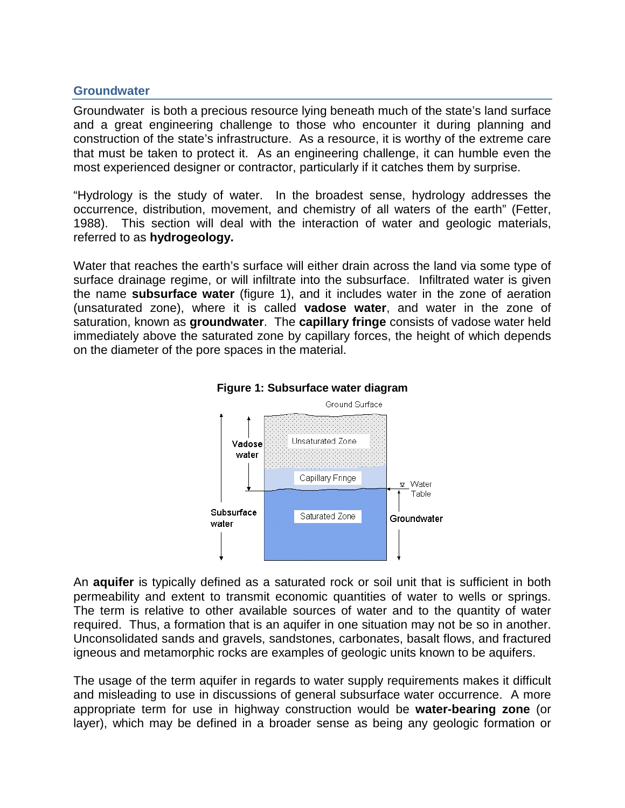### **Groundwater**

Groundwater is both a precious resource lying beneath much of the state's land surface and a great engineering challenge to those who encounter it during planning and construction of the state's infrastructure. As a resource, it is worthy of the extreme care that must be taken to protect it. As an engineering challenge, it can humble even the most experienced designer or contractor, particularly if it catches them by surprise.

"Hydrology is the study of water. In the broadest sense, hydrology addresses the occurrence, distribution, movement, and chemistry of all waters of the earth" (Fetter, 1988). This section will deal with the interaction of water and geologic materials, referred to as **hydrogeology.** 

Water that reaches the earth's surface will either drain across the land via some type of surface drainage regime, or will infiltrate into the subsurface. Infiltrated water is given the name **subsurface water** (figure 1), and it includes water in the zone of aeration (unsaturated zone), where it is called **vadose water**, and water in the zone of saturation, known as **groundwater**. The **capillary fringe** consists of vadose water held immediately above the saturated zone by capillary forces, the height of which depends on the diameter of the pore spaces in the material.





An **aquifer** is typically defined as a saturated rock or soil unit that is sufficient in both permeability and extent to transmit economic quantities of water to wells or springs. The term is relative to other available sources of water and to the quantity of water required. Thus, a formation that is an aquifer in one situation may not be so in another. Unconsolidated sands and gravels, sandstones, carbonates, basalt flows, and fractured igneous and metamorphic rocks are examples of geologic units known to be aquifers.

The usage of the term aquifer in regards to water supply requirements makes it difficult and misleading to use in discussions of general subsurface water occurrence. A more appropriate term for use in highway construction would be **water-bearing zone** (or layer), which may be defined in a broader sense as being any geologic formation or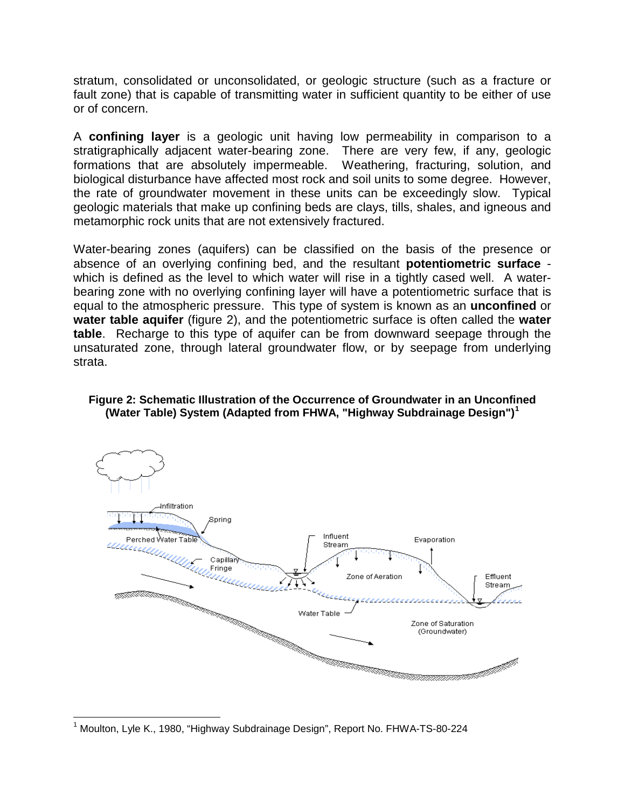stratum, consolidated or unconsolidated, or geologic structure (such as a fracture or fault zone) that is capable of transmitting water in sufficient quantity to be either of use or of concern.

A **confining layer** is a geologic unit having low permeability in comparison to a stratigraphically adjacent water-bearing zone. There are very few, if any, geologic formations that are absolutely impermeable. Weathering, fracturing, solution, and biological disturbance have affected most rock and soil units to some degree. However, the rate of groundwater movement in these units can be exceedingly slow. Typical geologic materials that make up confining beds are clays, tills, shales, and igneous and metamorphic rock units that are not extensively fractured.

Water-bearing zones (aquifers) can be classified on the basis of the presence or absence of an overlying confining bed, and the resultant **potentiometric surface** which is defined as the level to which water will rise in a tightly cased well. A waterbearing zone with no overlying confining layer will have a potentiometric surface that is equal to the atmospheric pressure. This type of system is known as an **unconfined** or **water table aquifer** (figure 2), and the potentiometric surface is often called the **water table**. Recharge to this type of aquifer can be from downward seepage through the unsaturated zone, through lateral groundwater flow, or by seepage from underlying strata.

#### **Figure 2: Schematic Illustration of the Occurrence of Groundwater in an Unconfined (Water Table) System (Adapted from FHWA, "Highway Subdrainage Design")[1](#page-1-0)**



<span id="page-1-0"></span> <sup>1</sup> Moulton, Lyle K., 1980, "Highway Subdrainage Design", Report No. FHWA-TS-80-224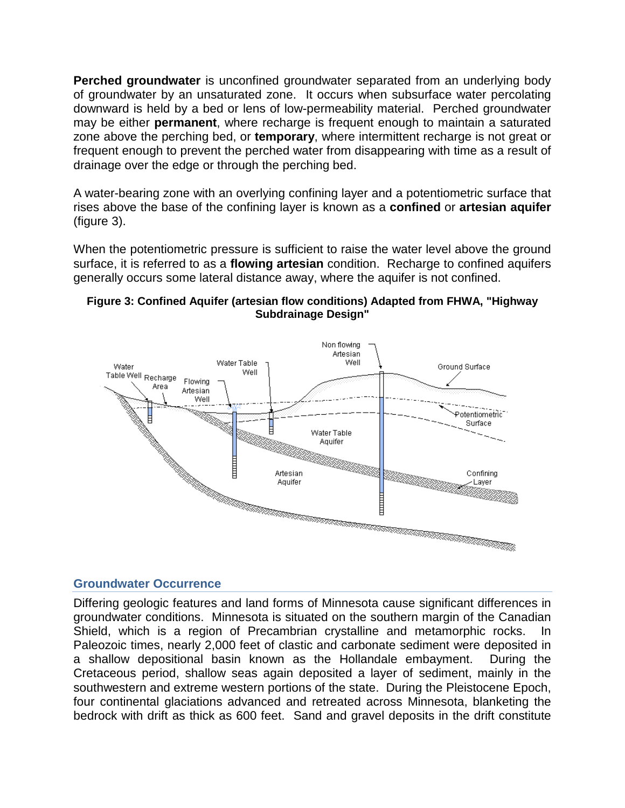**Perched groundwater** is unconfined groundwater separated from an underlying body of groundwater by an unsaturated zone. It occurs when subsurface water percolating downward is held by a bed or lens of low-permeability material. Perched groundwater may be either **permanent**, where recharge is frequent enough to maintain a saturated zone above the perching bed, or **temporary**, where intermittent recharge is not great or frequent enough to prevent the perched water from disappearing with time as a result of drainage over the edge or through the perching bed.

A water-bearing zone with an overlying confining layer and a potentiometric surface that rises above the base of the confining layer is known as a **confined** or **artesian aquifer**  (figure 3).

When the potentiometric pressure is sufficient to raise the water level above the ground surface, it is referred to as a **flowing artesian** condition. Recharge to confined aquifers generally occurs some lateral distance away, where the aquifer is not confined.





## **Groundwater Occurrence**

Differing geologic features and land forms of Minnesota cause significant differences in groundwater conditions. Minnesota is situated on the southern margin of the Canadian Shield, which is a region of Precambrian crystalline and metamorphic rocks. In Paleozoic times, nearly 2,000 feet of clastic and carbonate sediment were deposited in a shallow depositional basin known as the Hollandale embayment. During the Cretaceous period, shallow seas again deposited a layer of sediment, mainly in the southwestern and extreme western portions of the state. During the Pleistocene Epoch, four continental glaciations advanced and retreated across Minnesota, blanketing the bedrock with drift as thick as 600 feet. Sand and gravel deposits in the drift constitute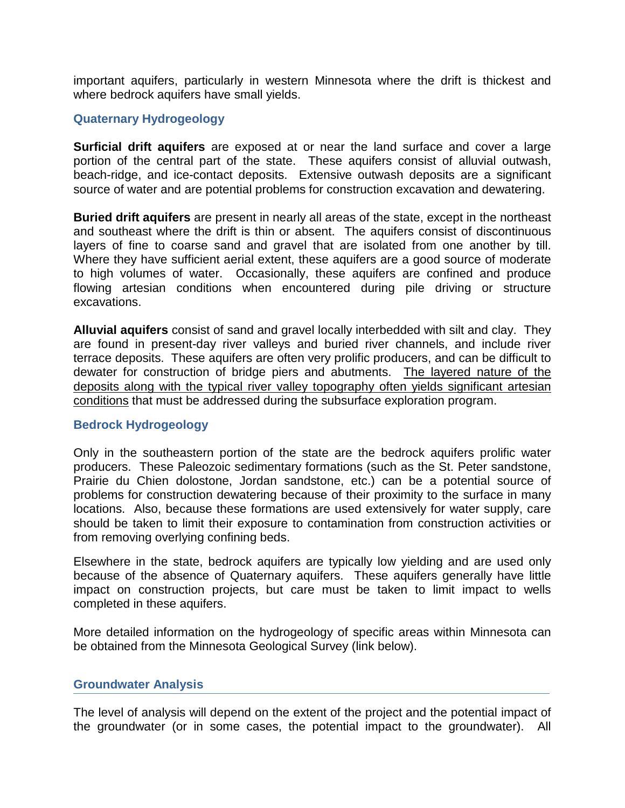important aquifers, particularly in western Minnesota where the drift is thickest and where bedrock aquifers have small yields.

### **Quaternary Hydrogeology**

**Surficial drift aquifers** are exposed at or near the land surface and cover a large portion of the central part of the state. These aquifers consist of alluvial outwash, beach-ridge, and ice-contact deposits. Extensive outwash deposits are a significant source of water and are potential problems for construction excavation and dewatering.

**Buried drift aquifers** are present in nearly all areas of the state, except in the northeast and southeast where the drift is thin or absent. The aquifers consist of discontinuous layers of fine to coarse sand and gravel that are isolated from one another by till. Where they have sufficient aerial extent, these aquifers are a good source of moderate to high volumes of water. Occasionally, these aquifers are confined and produce flowing artesian conditions when encountered during pile driving or structure excavations.

**Alluvial aquifers** consist of sand and gravel locally interbedded with silt and clay. They are found in present-day river valleys and buried river channels, and include river terrace deposits. These aquifers are often very prolific producers, and can be difficult to dewater for construction of bridge piers and abutments. The layered nature of the deposits along with the typical river valley topography often yields significant artesian conditions that must be addressed during the subsurface exploration program.

### **Bedrock Hydrogeology**

Only in the southeastern portion of the state are the bedrock aquifers prolific water producers. These Paleozoic sedimentary formations (such as the St. Peter sandstone, Prairie du Chien dolostone, Jordan sandstone, etc.) can be a potential source of problems for construction dewatering because of their proximity to the surface in many locations. Also, because these formations are used extensively for water supply, care should be taken to limit their exposure to contamination from construction activities or from removing overlying confining beds.

Elsewhere in the state, bedrock aquifers are typically low yielding and are used only because of the absence of Quaternary aquifers. These aquifers generally have little impact on construction projects, but care must be taken to limit impact to wells completed in these aquifers.

More detailed information on the hydrogeology of specific areas within Minnesota can be obtained from the Minnesota Geological Survey (link below).

### **Groundwater Analysis**

The level of analysis will depend on the extent of the project and the potential impact of the groundwater (or in some cases, the potential impact to the groundwater). All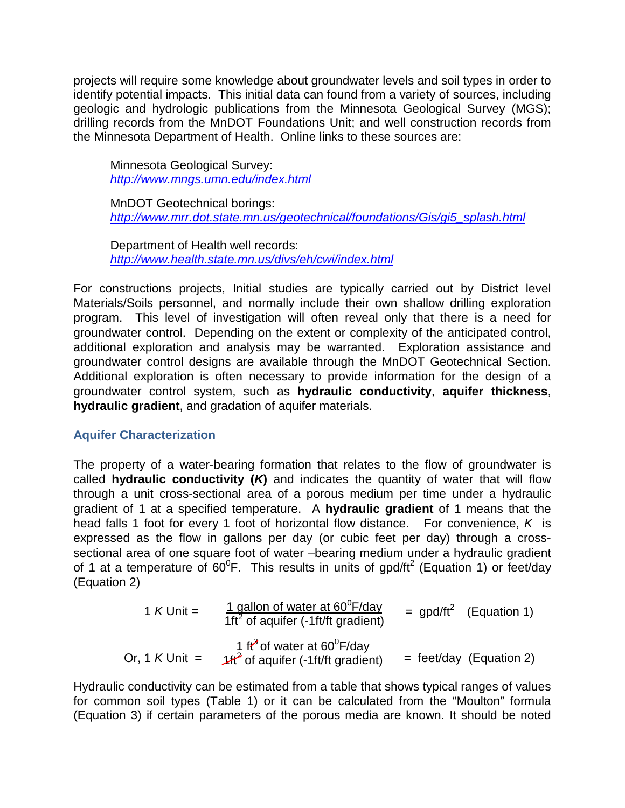projects will require some knowledge about groundwater levels and soil types in order to identify potential impacts. This initial data can found from a variety of sources, including geologic and hydrologic publications from the Minnesota Geological Survey (MGS); drilling records from the MnDOT Foundations Unit; and well construction records from the Minnesota Department of Health. Online links to these sources are:

Minnesota Geological Survey: *<http://www.mngs.umn.edu/index.html>*

MnDOT Geotechnical borings: *[http://www.mrr.dot.state.mn.us/geotechnical/foundations/Gis/gi5\\_splash.html](http://www.mrr.dot.state.mn.us/geotechnical/foundations/Gis/gi5_splash.html)*

Department of Health well records: *<http://www.health.state.mn.us/divs/eh/cwi/index.html>*

For constructions projects, Initial studies are typically carried out by District level Materials/Soils personnel, and normally include their own shallow drilling exploration program. This level of investigation will often reveal only that there is a need for groundwater control. Depending on the extent or complexity of the anticipated control, additional exploration and analysis may be warranted. Exploration assistance and groundwater control designs are available through the MnDOT Geotechnical Section. Additional exploration is often necessary to provide information for the design of a groundwater control system, such as **hydraulic conductivity**, **aquifer thickness**, **hydraulic gradient**, and gradation of aquifer materials.

## **Aquifer Characterization**

The property of a water-bearing formation that relates to the flow of groundwater is called **hydraulic conductivity (***K***)** and indicates the quantity of water that will flow through a unit cross-sectional area of a porous medium per time under a hydraulic gradient of 1 at a specified temperature. A **hydraulic gradient** of 1 means that the head falls 1 foot for every 1 foot of horizontal flow distance. For convenience, *K* is expressed as the flow in gallons per day (or cubic feet per day) through a crosssectional area of one square foot of water –bearing medium under a hydraulic gradient of 1 at a temperature of 60<sup>0</sup>F. This results in units of gpd/ft<sup>2</sup> (Equation 1) or feet/day (Equation 2)

1 K Unit = 
$$
\frac{1 \text{ gallon of water at } 60^{\circ}F/day}{1 \text{ ft}^2 \text{ of aquifer } (-1 \text{ ft/ft gradient})}
$$
 = gpd/ft<sup>2</sup> (Equation 1)  
Or, 1 K Unit =  $\frac{1 \text{ ft}^3 \text{ of water at } 60^{\circ}F/day}{1 \text{ ft}^2 \text{ of aquifer } (-1 \text{ ft/ft gradient})}$  = feet/day (Equation 2)

Hydraulic conductivity can be estimated from a table that shows typical ranges of values for common soil types (Table 1) or it can be calculated from the "Moulton" formula (Equation 3) if certain parameters of the porous media are known. It should be noted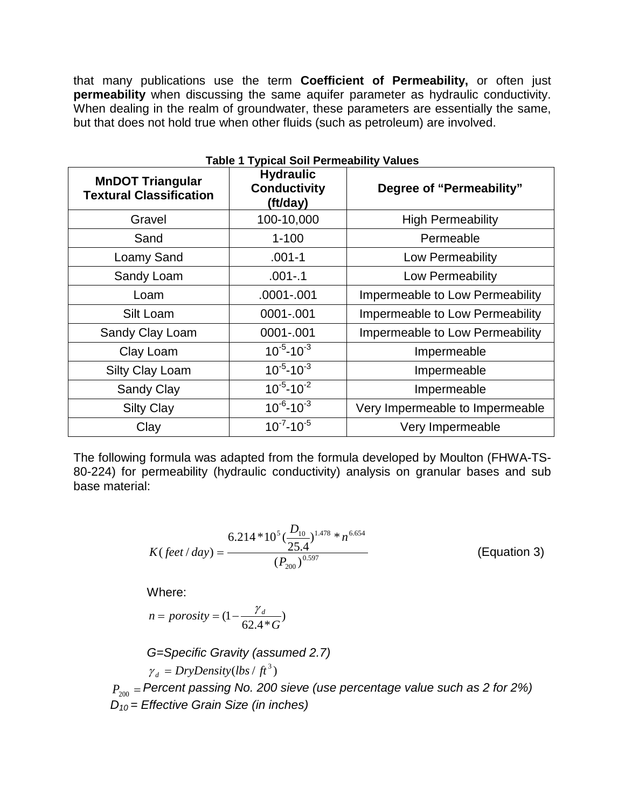that many publications use the term **Coefficient of Permeability,** or often just **permeability** when discussing the same aquifer parameter as hydraulic conductivity. When dealing in the realm of groundwater, these parameters are essentially the same, but that does not hold true when other fluids (such as petroleum) are involved.

| <b>MnDOT Triangular</b><br><b>Textural Classification</b> | <b>Hydraulic</b><br><b>Conductivity</b><br>(ft/day) | Degree of "Permeability"        |
|-----------------------------------------------------------|-----------------------------------------------------|---------------------------------|
| Gravel                                                    | 100-10,000                                          | <b>High Permeability</b>        |
| Sand                                                      | $1 - 100$                                           | Permeable                       |
| Loamy Sand                                                | $.001 - 1$                                          | Low Permeability                |
| Sandy Loam                                                | $.001 - .1$                                         | Low Permeability                |
| Loam                                                      | .0001-.001                                          | Impermeable to Low Permeability |
| Silt Loam                                                 | 0001-.001                                           | Impermeable to Low Permeability |
| Sandy Clay Loam                                           | 0001-.001                                           | Impermeable to Low Permeability |
| Clay Loam                                                 | $10^{-5} - 10^{-3}$                                 | Impermeable                     |
| Silty Clay Loam                                           | $10^{-5} - 10^{-3}$                                 | Impermeable                     |
| Sandy Clay                                                | $10^{-5} - 10^{-2}$                                 | Impermeable                     |
| <b>Silty Clay</b>                                         | $10^{-6} - 10^{-3}$                                 | Very Impermeable to Impermeable |
| Clay                                                      | $10^{-7} - 10^{-5}$                                 | Very Impermeable                |

# **Table 1 Typical Soil Permeability Values**

The following formula was adapted from the formula developed by Moulton (FHWA-TS-80-224) for permeability (hydraulic conductivity) analysis on granular bases and sub base material:

$$
K(\text{feet}/\text{day}) = \frac{6.214 * 10^5 (\frac{D_{10}}{25.4})^{1.478} * n^{6.654}}{(P_{200})^{0.597}}
$$
 (Equation 3)

Where:

$$
n = porosity = (1 - \frac{\gamma_d}{62.4 \cdot G})
$$

*G=Specific Gravity (assumed 2.7)*  $\gamma_d = DryDensity (lbs / ft^3)$ *P*<sup>200</sup> = *Percent passing No. 200 sieve (use percentage value such as 2 for 2%) D10 = Effective Grain Size (in inches)*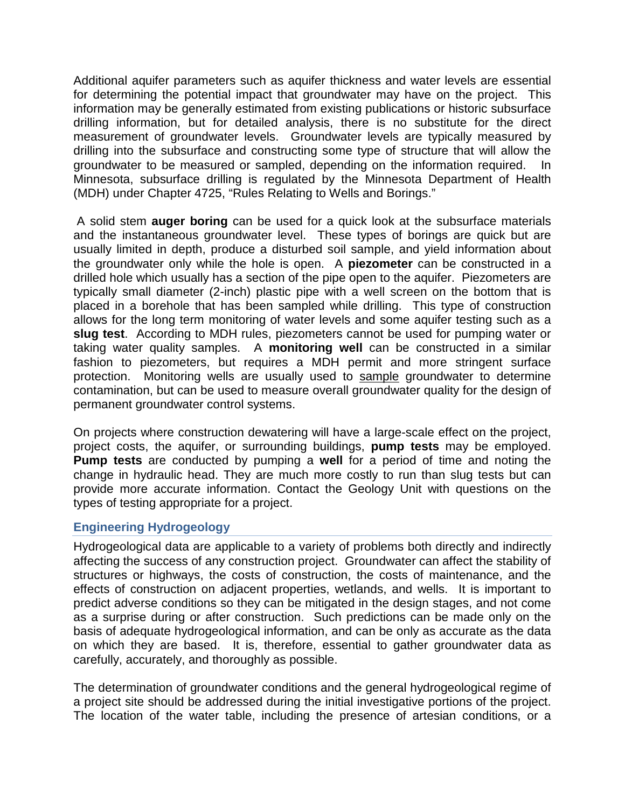Additional aquifer parameters such as aquifer thickness and water levels are essential for determining the potential impact that groundwater may have on the project. This information may be generally estimated from existing publications or historic subsurface drilling information, but for detailed analysis, there is no substitute for the direct measurement of groundwater levels. Groundwater levels are typically measured by drilling into the subsurface and constructing some type of structure that will allow the groundwater to be measured or sampled, depending on the information required. In Minnesota, subsurface drilling is regulated by the Minnesota Department of Health (MDH) under Chapter 4725, "Rules Relating to Wells and Borings."

A solid stem **auger boring** can be used for a quick look at the subsurface materials and the instantaneous groundwater level. These types of borings are quick but are usually limited in depth, produce a disturbed soil sample, and yield information about the groundwater only while the hole is open. A **piezometer** can be constructed in a drilled hole which usually has a section of the pipe open to the aquifer. Piezometers are typically small diameter (2-inch) plastic pipe with a well screen on the bottom that is placed in a borehole that has been sampled while drilling. This type of construction allows for the long term monitoring of water levels and some aquifer testing such as a **slug test**. According to MDH rules, piezometers cannot be used for pumping water or taking water quality samples. A **monitoring well** can be constructed in a similar fashion to piezometers, but requires a MDH permit and more stringent surface protection. Monitoring wells are usually used to sample groundwater to determine contamination, but can be used to measure overall groundwater quality for the design of permanent groundwater control systems.

On projects where construction dewatering will have a large-scale effect on the project, project costs, the aquifer, or surrounding buildings, **pump tests** may be employed. **Pump tests** are conducted by pumping a **well** for a period of time and noting the change in hydraulic head. They are much more costly to run than slug tests but can provide more accurate information. Contact the Geology Unit with questions on the types of testing appropriate for a project.

## **Engineering Hydrogeology**

Hydrogeological data are applicable to a variety of problems both directly and indirectly affecting the success of any construction project. Groundwater can affect the stability of structures or highways, the costs of construction, the costs of maintenance, and the effects of construction on adjacent properties, wetlands, and wells. It is important to predict adverse conditions so they can be mitigated in the design stages, and not come as a surprise during or after construction. Such predictions can be made only on the basis of adequate hydrogeological information, and can be only as accurate as the data on which they are based. It is, therefore, essential to gather groundwater data as carefully, accurately, and thoroughly as possible.

The determination of groundwater conditions and the general hydrogeological regime of a project site should be addressed during the initial investigative portions of the project. The location of the water table, including the presence of artesian conditions, or a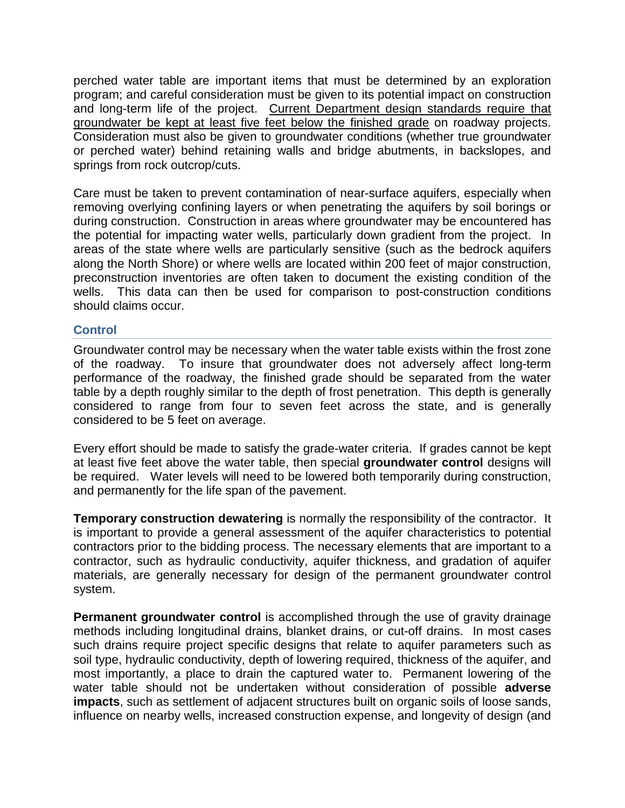perched water table are important items that must be determined by an exploration program; and careful consideration must be given to its potential impact on construction and long-term life of the project. Current Department design standards require that groundwater be kept at least five feet below the finished grade on roadway projects. Consideration must also be given to groundwater conditions (whether true groundwater or perched water) behind retaining walls and bridge abutments, in backslopes, and springs from rock outcrop/cuts.

Care must be taken to prevent contamination of near-surface aquifers, especially when removing overlying confining layers or when penetrating the aquifers by soil borings or during construction. Construction in areas where groundwater may be encountered has the potential for impacting water wells, particularly down gradient from the project. In areas of the state where wells are particularly sensitive (such as the bedrock aquifers along the North Shore) or where wells are located within 200 feet of major construction, preconstruction inventories are often taken to document the existing condition of the wells. This data can then be used for comparison to post-construction conditions should claims occur.

### **Control**

Groundwater control may be necessary when the water table exists within the frost zone of the roadway. To insure that groundwater does not adversely affect long-term performance of the roadway, the finished grade should be separated from the water table by a depth roughly similar to the depth of frost penetration. This depth is generally considered to range from four to seven feet across the state, and is generally considered to be 5 feet on average.

Every effort should be made to satisfy the grade-water criteria. If grades cannot be kept at least five feet above the water table, then special **groundwater control** designs will be required. Water levels will need to be lowered both temporarily during construction, and permanently for the life span of the pavement.

**Temporary construction dewatering** is normally the responsibility of the contractor. It is important to provide a general assessment of the aquifer characteristics to potential contractors prior to the bidding process. The necessary elements that are important to a contractor, such as hydraulic conductivity, aquifer thickness, and gradation of aquifer materials, are generally necessary for design of the permanent groundwater control system.

**Permanent groundwater control** is accomplished through the use of gravity drainage methods including longitudinal drains, blanket drains, or cut-off drains. In most cases such drains require project specific designs that relate to aquifer parameters such as soil type, hydraulic conductivity, depth of lowering required, thickness of the aquifer, and most importantly, a place to drain the captured water to. Permanent lowering of the water table should not be undertaken without consideration of possible **adverse impacts**, such as settlement of adjacent structures built on organic soils of loose sands, influence on nearby wells, increased construction expense, and longevity of design (and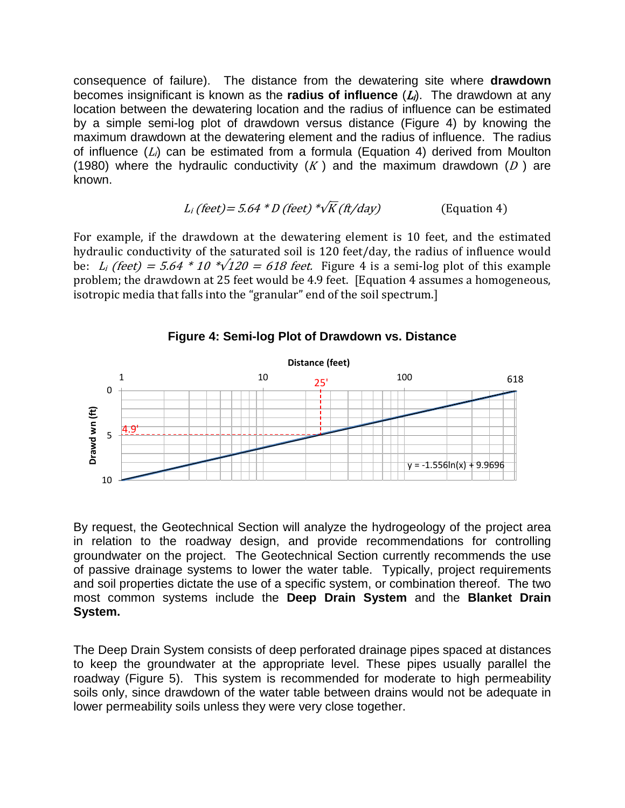consequence of failure). The distance from the dewatering site where **drawdown** becomes insignificant is known as the **radius of influence**  $(L<sub>i</sub>)$ . The drawdown at any location between the dewatering location and the radius of influence can be estimated by a simple semi-log plot of drawdown versus distance (Figure 4) by knowing the maximum drawdown at the dewatering element and the radius of influence. The radius of influence  $(L_i)$  can be estimated from a formula (Equation 4) derived from Moulton (1980) where the hydraulic conductivity  $(K)$  and the maximum drawdown  $(D)$  are known.

$$
L_i \text{ (feet)} = 5.64 * D \text{ (feet)} * \sqrt{K} \text{ (ft/day)} \qquad \text{(Equation 4)}
$$

For example, if the drawdown at the dewatering element is 10 feet, and the estimated hydraulic conductivity of the saturated soil is 120 feet/day, the radius of influence would be:  $L_i$  (feet) = 5.64  $*$  10  $*\sqrt{120}$  = 618 feet. Figure 4 is a semi-log plot of this example problem; the drawdown at 25 feet would be 4.9 feet. [Equation 4 assumes a homogeneous, isotropic media that falls into the "granular" end of the soil spectrum.]



### **Figure 4: Semi-log Plot of Drawdown vs. Distance**

By request, the Geotechnical Section will analyze the hydrogeology of the project area in relation to the roadway design, and provide recommendations for controlling groundwater on the project. The Geotechnical Section currently recommends the use of passive drainage systems to lower the water table. Typically, project requirements and soil properties dictate the use of a specific system, or combination thereof. The two most common systems include the **Deep Drain System** and the **Blanket Drain System.** 

The Deep Drain System consists of deep perforated drainage pipes spaced at distances to keep the groundwater at the appropriate level. These pipes usually parallel the roadway (Figure 5). This system is recommended for moderate to high permeability soils only, since drawdown of the water table between drains would not be adequate in lower permeability soils unless they were very close together.